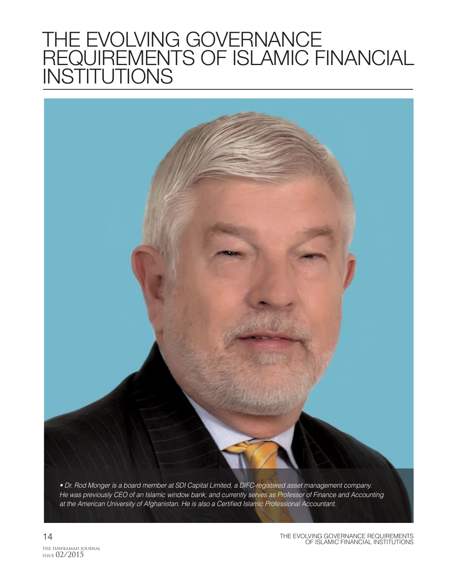# THE EVOLVING GOVERNANCE REQUIREMENTS OF ISLAMIC FINANCIAL INSTITUTIONS

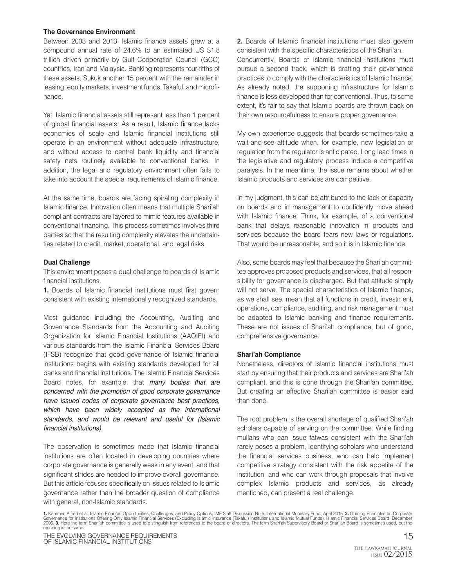#### **The Governance Environment**

Between 2003 and 2013, Islamic finance assets grew at a compound annual rate of 24.6% to an estimated US \$1.8 trillion driven primarily by Gulf Cooperation Council (GCC) countries, Iran and Malaysia. Banking represents four-fifths of these assets, Sukuk another 15 percent with the remainder in leasing, equity markets, investment funds, Takaful, and microfinance.

Yet, Islamic financial assets still represent less than 1 percent of global financial assets. As a result, Islamic finance lacks economies of scale and Islamic financial institutions still operate in an environment without adequate infrastructure, and without access to central bank liquidity and financial safety nets routinely available to conventional banks. In addition, the legal and regulatory environment often fails to take into account the special requirements of Islamic finance.

At the same time, boards are facing spiraling complexity in Islamic finance. Innovation often means that multiple Shari'ah compliant contracts are layered to mimic features available in conventional financing. This process sometimes involves third parties so that the resulting complexity elevates the uncertainties related to credit, market, operational, and legal risks.

#### **Dual Challenge**

This environment poses a dual challenge to boards of Islamic financial institutions.

**1.** Boards of Islamic financial institutions must first govern consistent with existing internationally recognized standards.

Most guidance including the Accounting, Auditing and Governance Standards from the Accounting and Auditing Organization for Islamic Financial Institutions (AAOIFI) and various standards from the Islamic Financial Services Board (IFSB) recognize that good governance of Islamic financial institutions begins with existing standards developed for all banks and financial institutions. The Islamic Financial Services Board notes, for example, that *many bodies that are concerned with the promotion of good corporate governance have issued codes of corporate governance best practices, which have been widely accepted as the international standards, and would be relevant and useful for (Islamic*  financial institutions).

The observation is sometimes made that Islamic financial institutions are often located in developing countries where corporate governance is generally weak in any event, and that significant strides are needed to improve overall governance. But this article focuses specifically on issues related to Islamic governance rather than the broader question of compliance with general, non-Islamic standards.

**2.** Boards of Islamic financial institutions must also govern consistent with the specific characteristics of the Shari'ah. Concurrently, Boards of Islamic financial institutions must pursue a second track, which is crafting their governance practices to comply with the characteristics of Islamic finance. As already noted, the supporting infrastructure for Islamic finance is less developed than for conventional. Thus, to some extent, it's fair to say that Islamic boards are thrown back on their own resourcefulness to ensure proper governance.

My own experience suggests that boards sometimes take a wait-and-see attitude when, for example, new legislation or regulation from the regulator is anticipated. Long lead times in the legislative and regulatory process induce a competitive paralysis. In the meantime, the issue remains about whether Islamic products and services are competitive.

In my judgment, this can be attributed to the lack of capacity on boards and in management to confidently move ahead with Islamic finance. Think, for example, of a conventional bank that delays reasonable innovation in products and services because the board fears new laws or regulations. That would be unreasonable, and so it is in Islamic finance.

Also, some boards may feel that because the Shari'ah committee approves proposed products and services, that all responsibility for governance is discharged. But that attitude simply will not serve. The special characteristics of Islamic finance, as we shall see, mean that all functions in credit, investment, operations, compliance, auditing, and risk management must be adapted to Islamic banking and finance requirements. These are not issues of Shari'ah compliance, but of good, comprehensive governance.

#### **Shari'ah Compliance**

Nonetheless, directors of Islamic financial institutions must start by ensuring that their products and services are Shari'ah compliant, and this is done through the Shari'ah committee. But creating an effective Shari'ah committee is easier said than done.

The root problem is the overall shortage of qualified Shari'ah scholars capable of serving on the committee. While finding mullahs who can issue fatwas consistent with the Shari'ah rarely poses a problem, identifying scholars who understand the financial services business, who can help implement competitive strategy consistent with the risk appetite of the institution, and who can work through proposals that involve complex Islamic products and services, as already mentioned, can present a real challenge.

1. Kammer, Alfred et al, Islamic Finance: Opportunities, Challenges, and Policy Options, IMF Staff Discussion Note, International Monetary Fund, April 2015. **2.** Guiding Principles on Corporate<br>Governance for Institutions meaning is the same.

THE EVOLVING GOVERNANCE REQUIREMENTS<br>OF ISLAMIC FINANCIAL INSTITUTIONS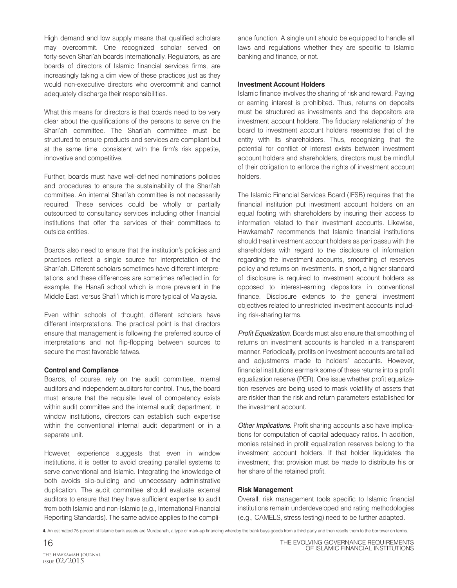High demand and low supply means that qualified scholars may overcommit. One recognized scholar served on forty-seven Shari'ah boards internationally. Regulators, as are boards of directors of Islamic financial services firms, are increasingly taking a dim view of these practices just as they would non-executive directors who overcommit and cannot adequately discharge their responsibilities.

What this means for directors is that boards need to be very clear about the qualifications of the persons to serve on the Shari'ah committee. The Shari'ah committee must be structured to ensure products and services are compliant but at the same time, consistent with the firm's risk appetite, innovative and competitive.

Further, boards must have well-defined nominations policies and procedures to ensure the sustainability of the Shari'ah committee. An internal Shari'ah committee is not necessarily required. These services could be wholly or partially outsourced to consultancy services including other financial institutions that offer the services of their committees to outside entities.

Boards also need to ensure that the institution's policies and practices reflect a single source for interpretation of the Shari'ah. Different scholars sometimes have different interpretations, and these differences are sometimes reflected in, for example, the Hanafi school which is more prevalent in the Middle East, versus Shafi'i which is more typical of Malaysia.

Even within schools of thought, different scholars have different interpretations. The practical point is that directors ensure that management is following the preferred source of interpretations and not flip-flopping between sources to secure the most favorable fatwas.

#### **Control and Compliance**

Boards, of course, rely on the audit committee, internal auditors and independent auditors for control. Thus, the board must ensure that the requisite level of competency exists within audit committee and the internal audit department. In window institutions, directors can establish such expertise within the conventional internal audit department or in a separate unit.

However, experience suggests that even in window institutions, it is better to avoid creating parallel systems to serve conventional and Islamic. Integrating the knowledge of both avoids silo-building and unnecessary administrative duplication. The audit committee should evaluate external auditors to ensure that they have sufficient expertise to audit from both Islamic and non-Islamic (e.g., International Financial Reporting Standards). The same advice applies to the compliance function. A single unit should be equipped to handle all laws and regulations whether they are specific to Islamic banking and finance, or not.

#### **Investment Account Holders**

Islamic finance involves the sharing of risk and reward. Paying or earning interest is prohibited. Thus, returns on deposits must be structured as investments and the depositors are investment account holders. The fiduciary relationship of the board to investment account holders resembles that of the entity with its shareholders. Thus, recognizing that the potential for conflict of interest exists between investment account holders and shareholders, directors must be mindful of their obligation to enforce the rights of investment account holders.

The Islamic Financial Services Board (IFSB) requires that the financial institution put investment account holders on an equal footing with shareholders by insuring their access to information related to their investment accounts. Likewise, Hawkamah7 recommends that Islamic financial institutions should treat investment account holders as pari passu with the shareholders with regard to the disclosure of information regarding the investment accounts, smoothing of reserves policy and returns on investments. In short, a higher standard of disclosure is required to investment account holders as opposed to interest-earning depositors in conventional finance. Disclosure extends to the general investment objectives related to unrestricted investment accounts including risk-sharing terms.

Profit Equalization. Boards must also ensure that smoothing of returns on investment accounts is handled in a transparent manner. Periodically, profits on investment accounts are tallied and adjustments made to holders' accounts. However, financial institutions earmark some of these returns into a profit equalization reserve (PER). One issue whether profit equalization reserves are being used to mask volatility of assets that are riskier than the risk and return parameters established for the investment account.

Other Implications. Profit sharing accounts also have implications for computation of capital adequacy ratios. In addition, monies retained in profit equalization reserves belong to the investment account holders. If that holder liquidates the investment, that provision must be made to distribute his or her share of the retained profit.

#### **Risk Management**

Overall, risk management tools specific to Islamic financial institutions remain underdeveloped and rating methodologies (e.g., CAMELS, stress testing) need to be further adapted.

**4.** An estimated 75 percent of Islamic bank assets are Murabahah, a type of mark-up financing whereby the bank buys goods from a third party and then resells them to the borrower on terms.